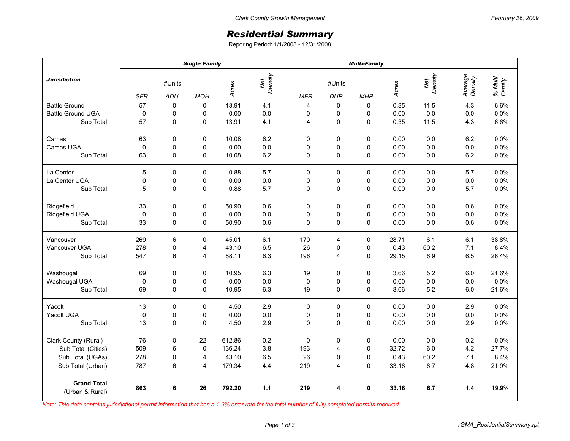## *Residential Summary*

Reporing Period: 1/1/2008 - 12/31/2008

|                                       | <b>Single Family</b> |             |                |        |                | <b>Multi-Family</b> |             |            |       |                |                    |                    |
|---------------------------------------|----------------------|-------------|----------------|--------|----------------|---------------------|-------------|------------|-------|----------------|--------------------|--------------------|
| <b>Jurisdiction</b>                   | #Units               |             |                | Acres  | Net<br>Density | #Units              |             |            | Acres | Net<br>Density | Average<br>Density | % Multi-<br>Family |
|                                       | <b>SFR</b>           | ADU         | <b>MOH</b>     |        |                | <b>MFR</b>          | <b>DUP</b>  | <b>MHP</b> |       |                |                    |                    |
| <b>Battle Ground</b>                  | 57                   | 0           | 0              | 13.91  | 4.1            | 4                   | 0           | $\Omega$   | 0.35  | 11.5           | 4.3                | 6.6%               |
| <b>Battle Ground UGA</b>              | 0                    | 0           | 0              | 0.00   | $0.0\,$        | 0                   | 0           | 0          | 0.00  | 0.0            | 0.0                | 0.0%               |
| Sub Total                             | 57                   | 0           | 0              | 13.91  | 4.1            | 4                   | $\mathbf 0$ | 0          | 0.35  | 11.5           | 4.3                | 6.6%               |
| Camas                                 | 63                   | $\Omega$    | $\Omega$       | 10.08  | 6.2            | 0                   | 0           | $\Omega$   | 0.00  | 0.0            | 6.2                | 0.0%               |
| Camas UGA                             | $\mathbf 0$          | 0           | 0              | 0.00   | 0.0            | 0                   | 0           | 0          | 0.00  | 0.0            | 0.0                | 0.0%               |
| Sub Total                             | 63                   | 0           | 0              | 10.08  | 6.2            | 0                   | $\mathbf 0$ | 0          | 0.00  | 0.0            | 6.2                | 0.0%               |
| La Center                             | 5                    | $\mathbf 0$ | 0              | 0.88   | 5.7            | 0                   | 0           | 0          | 0.00  | 0.0            | 5.7                | 0.0%               |
| La Center UGA                         | $\mathsf 0$          | 0           | $\mathsf 0$    | 0.00   | 0.0            | 0                   | 0           | 0          | 0.00  | 0.0            | 0.0                | 0.0%               |
| Sub Total                             | 5                    | 0           | 0              | 0.88   | 5.7            | 0                   | $\mathbf 0$ | 0          | 0.00  | 0.0            | 5.7                | 0.0%               |
| Ridgefield                            | 33                   | 0           | $\mathbf 0$    | 50.90  | 0.6            | 0                   | $\mathbf 0$ | 0          | 0.00  | 0.0            | 0.6                | 0.0%               |
| Ridgefield UGA                        | 0                    | 0           | 0              | 0.00   | 0.0            | 0                   | 0           | 0          | 0.00  | 0.0            | 0.0                | 0.0%               |
| Sub Total                             | 33                   | $\mathbf 0$ | 0              | 50.90  | 0.6            | 0                   | $\mathbf 0$ | 0          | 0.00  | 0.0            | 0.6                | 0.0%               |
| Vancouver                             | 269                  | 6           | 0              | 45.01  | 6.1            | 170                 | 4           | 0          | 28.71 | 6.1            | 6.1                | 38.8%              |
| Vancouver UGA                         | 278                  | 0           | $\overline{4}$ | 43.10  | 6.5            | 26                  | 0           | $\Omega$   | 0.43  | 60.2           | 7.1                | 8.4%               |
| Sub Total                             | 547                  | 6           | 4              | 88.11  | 6.3            | 196                 | 4           | 0          | 29.15 | 6.9            | 6.5                | 26.4%              |
| Washougal                             | 69                   | $\mathbf 0$ | 0              | 10.95  | 6.3            | 19                  | 0           | 0          | 3.66  | 5.2            | 6.0                | 21.6%              |
| Washougal UGA                         | $\pmb{0}$            | 0           | 0              | 0.00   | $0.0\,$        | 0                   | 0           | 0          | 0.00  | 0.0            | 0.0                | 0.0%               |
| Sub Total                             | 69                   | 0           | $\mathbf 0$    | 10.95  | 6.3            | 19                  | $\mathbf 0$ | $\Omega$   | 3.66  | 5.2            | 6.0                | 21.6%              |
| Yacolt                                | 13                   | $\Omega$    | $\mathbf 0$    | 4.50   | 2.9            | $\Omega$            | $\mathbf 0$ | $\Omega$   | 0.00  | 0.0            | 2.9                | 0.0%               |
| Yacolt UGA                            | $\pmb{0}$            | 0           | 0              | 0.00   | 0.0            | 0                   | 0           | 0          | 0.00  | 0.0            | 0.0                | 0.0%               |
| Sub Total                             | 13                   | $\mathbf 0$ | $\mathbf 0$    | 4.50   | 2.9            | 0                   | $\mathbf 0$ | 0          | 0.00  | 0.0            | 2.9                | 0.0%               |
| Clark County (Rural)                  | 76                   | $\pmb{0}$   | 22             | 612.86 | 0.2            | 0                   | $\pmb{0}$   | 0          | 0.00  | 0.0            | 0.2                | 0.0%               |
| Sub Total (Cities)                    | 509                  | 6           | $\mathbf 0$    | 136.24 | 3.8            | 193                 | 4           | 0          | 32.72 | 6.0            | 4.2                | 27.7%              |
| Sub Total (UGAs)                      | 278                  | 0           | 4              | 43.10  | 6.5            | 26                  | 0           | $\Omega$   | 0.43  | 60.2           | 7.1                | 8.4%               |
| Sub Total (Urban)                     | 787                  | 6           | 4              | 179.34 | 4.4            | 219                 | 4           | 0          | 33.16 | 6.7            | 4.8                | 21.9%              |
| <b>Grand Total</b><br>(Urban & Rural) | 863                  | 6           | 26             | 792.20 | 1.1            | 219                 | 4           | 0          | 33.16 | 6.7            | 1.4                | 19.9%              |

*Note: This data contains jurisdictional permit information that has a 1-3% error rate for the total number of fully completed permits received.*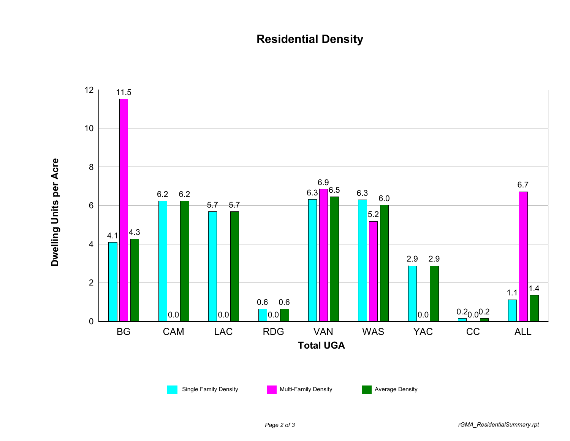## **Residential Density**

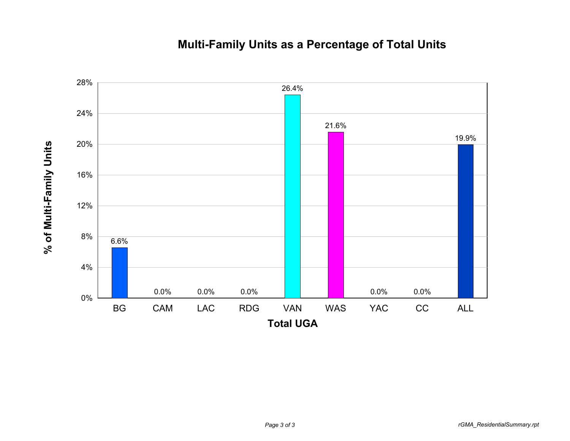## **Multi-Family Units as a Percentage of Total Units**